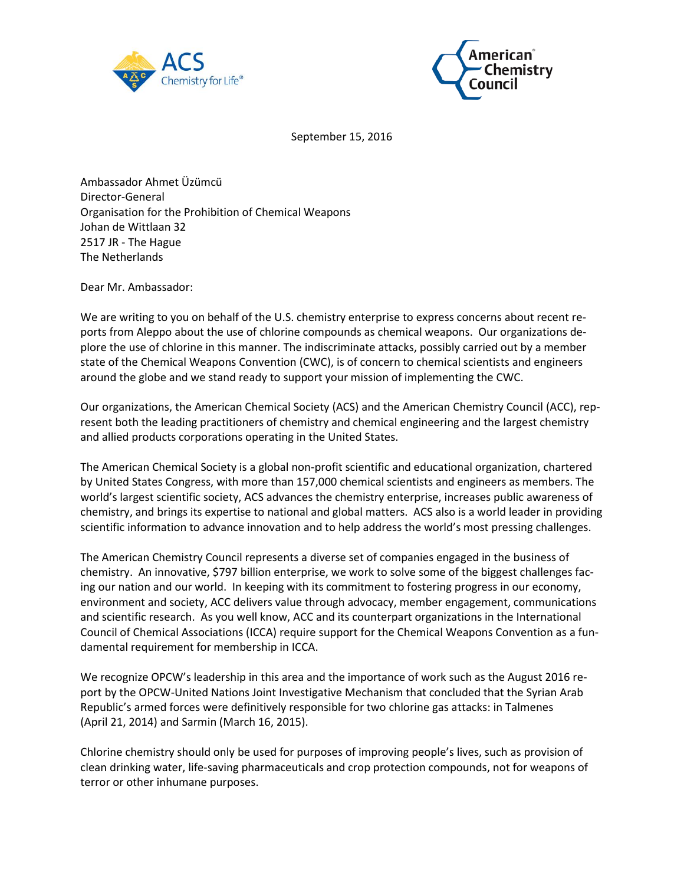



September 15, 2016

Ambassador Ahmet Üzümcü Director-General Organisation for the Prohibition of Chemical Weapons Johan de Wittlaan 32 2517 JR - The Hague The Netherlands

Dear Mr. Ambassador:

We are writing to you on behalf of the U.S. chemistry enterprise to express concerns about recent reports from Aleppo about the use of chlorine compounds as chemical weapons. Our organizations deplore the use of chlorine in this manner. The indiscriminate attacks, possibly carried out by a member state of the Chemical Weapons Convention (CWC), is of concern to chemical scientists and engineers around the globe and we stand ready to support your mission of implementing the CWC.

Our organizations, the American Chemical Society (ACS) and the American Chemistry Council (ACC), represent both the leading practitioners of chemistry and chemical engineering and the largest chemistry and allied products corporations operating in the United States.

The American Chemical Society is a global non-profit scientific and educational organization, chartered by United States Congress, with more than 157,000 chemical scientists and engineers as members. The world's largest scientific society, ACS advances the chemistry enterprise, increases public awareness of chemistry, and brings its expertise to national and global matters. ACS also is a world leader in providing scientific information to advance innovation and to help address the world's most pressing challenges.

The American Chemistry Council represents a diverse set of companies engaged in the business of chemistry. An innovative, \$797 billion enterprise, we work to solve some of the biggest challenges facing our nation and our world. In keeping with its commitment to fostering progress in our economy, environment and society, ACC delivers value through advocacy, member engagement, communications and scientific research. As you well know, ACC and its counterpart organizations in the International Council of Chemical Associations (ICCA) require support for the Chemical Weapons Convention as a fundamental requirement for membership in ICCA.

We recognize OPCW's leadership in this area and the importance of work such as the August 2016 report by the OPCW-United Nations Joint Investigative Mechanism that concluded that the Syrian Arab Republic's armed forces were definitively responsible for two chlorine gas attacks: in Talmenes (April 21, 2014) and Sarmin (March 16, 2015).

Chlorine chemistry should only be used for purposes of improving people's lives, such as provision of clean drinking water, life-saving pharmaceuticals and crop protection compounds, not for weapons of terror or other inhumane purposes.